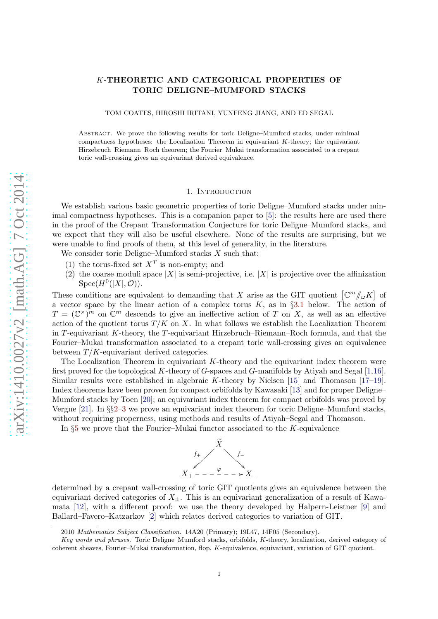# K-THEORETIC AND CATEGORICAL PROPERTIES OF TORIC DELIGNE–MUMFORD STACKS

TOM COATES, HIROSHI IRITANI, YUNFENG JIANG, AND ED SEGAL

Abstract. We prove the following results for toric Deligne–Mumford stacks, under minimal compactness hypotheses: the Localization Theorem in equivariant K-theory; the equivariant Hirzebruch–Riemann–Roch theorem; the Fourier–Mukai transformation associated to a crepant toric wall-crossing gives an equivariant derived equivalence.

### 1. INTRODUCTION

We establish various basic geometric properties of toric Deligne–Mumford stacks under minimal compactness hypotheses. This is a companion paper to [\[5\]](#page-13-0): the results here are used there in the proof of the Crepant Transformation Conjecture for toric Deligne–Mumford stacks, and we expect that they will also be useful elsewhere. None of the results are surprising, but we were unable to find proofs of them, at this level of generality, in the literature.

We consider toric Deligne–Mumford stacks  $X$  such that:

- (1) the torus-fixed set  $X^T$  is non-empty; and
- (2) the coarse moduli space |X| is semi-projective, i.e. |X| is projective over the affinization  $Spec(H^0(|X|, \mathcal{O})).$

These conditions are equivalent to demanding that X arise as the GIT quotient  $\left[\mathbb{C}^m/\!\!/_{\omega}K\right]$  of a vector space by the linear action of a complex torus K, as in §[3.1](#page-3-0) below. The action of  $T = (\mathbb{C}^{\times})^m$  on  $\mathbb{C}^m$  descends to give an ineffective action of T on X, as well as an effective action of the quotient torus  $T/K$  on X. In what follows we establish the Localization Theorem in T-equivariant K-theory, the T-equivariant Hirzebruch–Riemann–Roch formula, and that the Fourier–Mukai transformation associated to a crepant toric wall-crossing gives an equivalence between  $T/K$ -equivariant derived categories.

The Localization Theorem in equivariant  $K$ -theory and the equivariant index theorem were first proved for the topological K-theory of G-spaces and G-manifolds by Atiyah and Segal  $[1,16]$  $[1,16]$ . Similar results were established in algebraic K-theory by Nielsen  $[15]$  and Thomason  $[17-19]$ . Index theorems have been proven for compact orbifolds by Kawasaki [\[13\]](#page-13-6) and for proper Deligne– Mumford stacks by Toen [\[20\]](#page-13-7); an equivariant index theorem for compact orbifolds was proved by Vergne [\[21\]](#page-13-8). In §§[2](#page-1-0)[–3](#page-3-1) we prove an equivariant index theorem for toric Deligne–Mumford stacks, without requiring properness, using methods and results of Atiyah–Segal and Thomason.

In  $\S5$  $\S5$  we prove that the Fourier–Mukai functor associated to the K-equivalence



determined by a crepant wall-crossing of toric GIT quotients gives an equivalence between the equivariant derived categories of  $X_{+}$ . This is an equivariant generalization of a result of Kawamata [\[12\]](#page-13-9), with a different proof: we use the theory developed by Halpern-Leistner [\[9\]](#page-13-10) and Ballard–Favero–Katzarkov [\[2\]](#page-13-11) which relates derived categories to variation of GIT.

<sup>2010</sup> Mathematics Subject Classification. 14A20 (Primary); 19L47, 14F05 (Secondary).

Key words and phrases. Toric Deligne–Mumford stacks, orbifolds, K-theory, localization, derived category of coherent sheaves, Fourier–Mukai transformation, flop, K-equivalence, equivariant, variation of GIT quotient.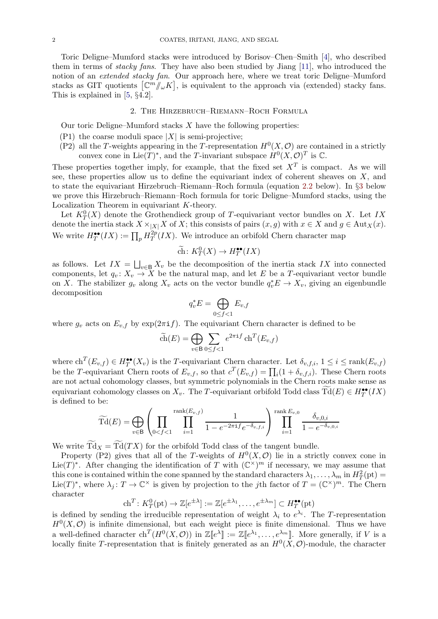Toric Deligne–Mumford stacks were introduced by Borisov–Chen–Smith [\[4\]](#page-13-12), who described them in terms of stacky fans. They have also been studied by Jiang [\[11\]](#page-13-13), who introduced the notion of an *extended stacky fan*. Our approach here, where we treat toric Deligne–Mumford stacks as GIT quotients  $\left[\mathbb{C}^m/\!\!/_{\omega}K\right]$ , is equivalent to the approach via (extended) stacky fans. This is explained in [\[5,](#page-13-0) §4.2].

# 2. The Hirzebruch–Riemann–Roch Formula

<span id="page-1-0"></span>Our toric Deligne–Mumford stacks  $X$  have the following properties:

- (P1) the coarse moduli space  $|X|$  is semi-projective;
- (P2) all the T-weights appearing in the T-representation  $H^0(X, \mathcal{O})$  are contained in a strictly convex cone in Lie(T)<sup>\*</sup>, and the T-invariant subspace  $H^0(X, \mathcal{O})^T$  is  $\mathbb{C}$ .

These properties together imply, for example, that the fixed set  $X<sup>T</sup>$  is compact. As we will see, these properties allow us to define the equivariant index of coherent sheaves on  $X$ , and to state the equivariant Hirzebruch–Riemann–Roch formula (equation [2.2](#page-2-0) below). In §[3](#page-3-1) below we prove this Hirzebruch–Riemann–Roch formula for toric Deligne–Mumford stacks, using the Localization Theorem in equivariant K-theory.

Let  $K_T^0(X)$  denote the Grothendieck group of T-equivariant vector bundles on X. Let IX denote the inertia stack  $X \times_{|X|} X$  of X; this consists of pairs  $(x, g)$  with  $x \in X$  and  $g \in Aut_X(x)$ . We write  $H_T^{\bullet \bullet}(IX) := \prod_p H_T^{2p}$  $T^{2p}(IX)$ . We introduce an orbifold Chern character map

$$
\widetilde{\text{ch}}\colon K_T^0(X)\to H_T^{\bullet\bullet}(IX)
$$

as follows. Let  $IX = \bigsqcup_{v \in B} X_v$  be the decomposition of the inertia stack IX into connected components, let  $q_v: X_v \to X$  be the natural map, and let E be a T-equivariant vector bundle on X. The stabilizer  $g_v$  along  $X_v$  acts on the vector bundle  $q_v^*E \to X_v$ , giving an eigenbundle decomposition

$$
q_v^* E = \bigoplus_{0 \le f < 1} E_{v,f}
$$

where  $g_v$  acts on  $E_{v,f}$  by  $\exp(2\pi i f)$ . The equivariant Chern character is defined to be

$$
\widetilde{\text{ch}}(E) = \bigoplus_{v \in \mathsf{B}} \sum_{0 \le f < 1} e^{2\pi \mathbf{i} f} \operatorname{ch}^T(E_{v,f})
$$

where  $ch^T(E_{v,f}) \in H_T^{\bullet\bullet}(X_v)$  is the T-equivariant Chern character. Let  $\delta_{v,f,i}$ ,  $1 \leq i \leq \text{rank}(E_{v,f})$ be the T-equivariant Chern roots of  $E_{v,f}$ , so that  $c^T(E_{v,f}) = \prod_i (1 + \delta_{v,f,i})$ . These Chern roots are not actual cohomology classes, but symmetric polynomials in the Chern roots make sense as equivariant cohomology classes on  $X_v$ . The T-equivariant orbifold Todd class  $\text{Td}(E) \in H_T^{\bullet\bullet}(IX)$ is defined to be:

$$
\widetilde{\mathrm{Td}}(E) = \bigoplus_{v \in \mathsf{B}} \left( \prod_{0 < f < 1} \prod_{i=1}^{\mathrm{rank}(E_{v,f})} \frac{1}{1 - e^{-2\pi \mathrm{i} f} e^{-\delta_{v,f,i}}} \right) \prod_{i=1}^{\mathrm{rank}\, E_{v,0}} \frac{\delta_{v,0,i}}{1 - e^{-\delta_{v,0,i}}}
$$

We write  $\widetilde{\mathrm{Td}}_X = \widetilde{\mathrm{Td}}(TX)$  for the orbifold Todd class of the tangent bundle.

Property (P2) gives that all of the T-weights of  $H^0(X, \mathcal{O})$  lie in a strictly convex cone in Lie(T)<sup>\*</sup>. After changing the identification of T with  $(\mathbb{C}^{\times})^m$  if necessary, we may assume that this cone is contained within the cone spanned by the standard characters  $\lambda_1, \ldots, \lambda_m$  in  $H^2_T(\mathrm{pt}) =$ Lie(T)<sup>\*</sup>, where  $\lambda_j: T \to \mathbb{C}^\times$  is given by projection to the jth factor of  $T = (\mathbb{C}^\times)^m$ . The Chern character

$$
\mathrm{ch}^T: K_T^0(\mathrm{pt}) \to \mathbb{Z}[e^{\pm \lambda}] := \mathbb{Z}[e^{\pm \lambda_1}, \dots, e^{\pm \lambda_m}] \subset H_T^{\bullet \bullet}(\mathrm{pt})
$$

is defined by sending the irreducible representation of weight  $\lambda_i$  to  $e^{\lambda_i}$ . The T-representation  $H^0(X, \mathcal{O})$  is infinite dimensional, but each weight piece is finite dimensional. Thus we have a well-defined character  $\mathrm{ch}^T(H^0(X,\mathcal{O}))$  in  $\mathbb{Z}[\![e^{\lambda}]] := \mathbb{Z}[\![e^{\lambda_1},\ldots,e^{\lambda_m}]\!]$ . More generally, if V is a locally finite T-representation that is finitely generated as an  $H^0(X, \mathcal{O})$ -module, the character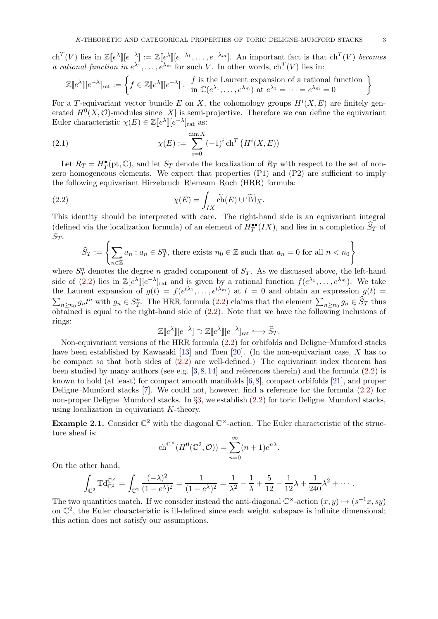$\mathrm{ch}^T(V)$  lies in  $\mathbb{Z}[e^{\lambda}][e^{-\lambda}] := \mathbb{Z}[e^{\lambda}][e^{-\lambda_1}, \ldots, e^{-\lambda_m}].$  An important fact is that  $\mathrm{ch}^T(V)$  becomes a rational function in  $e^{\lambda_1}, \ldots, e^{\lambda_m}$  for such V. In other words,  $ch^T(V)$  lies in:

$$
\mathbb{Z}[e^{\lambda}][e^{-\lambda}]_{\text{rat}} := \left\{ f \in \mathbb{Z}[e^{\lambda}][e^{-\lambda}] : \begin{array}{l} f \text{ is the Laurent expansion of a rational function} \\ \text{in } \mathbb{C}(e^{\lambda_1}, \dots, e^{\lambda_m}) \text{ at } e^{\lambda_1} = \dots = e^{\lambda_m} = 0 \end{array} \right\}
$$

For a T-equivariant vector bundle E on X, the cohomology groups  $H^{i}(X, E)$  are finitely generated  $H^0(X, \mathcal{O})$ -modules since |X| is semi-projective. Therefore we can define the equivariant Euler characteristic  $\chi(E) \in \mathbb{Z}[e^{\lambda}] | [e^{-\lambda}]_{\text{rat}}$  as:

<span id="page-2-1"></span>(2.1) 
$$
\chi(E) := \sum_{i=0}^{\dim X} (-1)^i \operatorname{ch}^T \left( H^i(X, E) \right)
$$

Let  $R_T = H_T^{\bullet}(\text{pt}, \mathbb{C})$ , and let  $S_T$  denote the localization of  $R_T$  with respect to the set of nonzero homogeneous elements. We expect that properties (P1) and (P2) are sufficient to imply the following equivariant Hirzebruch–Riemann–Roch (HRR) formula:

(2.2) 
$$
\chi(E) = \int_{IX} \widetilde{\text{ch}}(E) \cup \widetilde{\text{Td}}_X.
$$

This identity should be interpreted with care. The right-hand side is an equivariant integral (defined via the localization formula) of an element of  $H_T^{\bullet\bullet}(IX)$ , and lies in a completion  $\widehat{S}_T$  of  $S_T$ :

<span id="page-2-0"></span>
$$
\widehat{S}_T := \left\{ \sum_{n \in \mathbb{Z}} a_n : a_n \in S_T^n, \text{ there exists } n_0 \in \mathbb{Z} \text{ such that } a_n = 0 \text{ for all } n < n_0 \right\}
$$

where  $S_T^n$  denotes the degree n graded component of  $S_T$ . As we discussed above, the left-hand side of [\(2.2\)](#page-2-0) lies in  $\mathbb{Z}[e^{\lambda}]$   $[e^{-\lambda}]$ <sub>rat</sub> and is given by a rational function  $f(e^{\lambda_1}, \ldots, e^{\lambda_m})$ . We take the Laurent expansion of  $g(t) = f(e^{t\lambda_1}, \ldots, e^{t\lambda_m})$  at  $t = 0$  and obtain an expression  $g(t) =$  $\sum_{n\geq n_0} g_n t^n$  with  $g_n \in S_T^n$ . The HRR formula [\(2.2\)](#page-2-0) claims that the element  $\sum_{n\geq n_0} g_n \in \widehat{S}_T$  thus obtained is equal to the right-hand side of [\(2.2\)](#page-2-0). Note that we have the following inclusions of rings:

$$
\mathbb{Z}[e^{\lambda}][e^{-\lambda}] \supset \mathbb{Z}[e^{\lambda}][e^{-\lambda}]_{\text{rat}} \longrightarrow \widehat{S}_T.
$$

Non-equivariant versions of the HRR formula [\(2.2\)](#page-2-0) for orbifolds and Deligne–Mumford stacks have been established by Kawasaki [\[13\]](#page-13-6) and Toen [\[20\]](#page-13-7). (In the non-equivariant case, X has to be compact so that both sides of [\(2.2\)](#page-2-0) are well-defined.) The equivariant index theorem has been studied by many authors (see e.g.  $[3,8,14]$  $[3,8,14]$  $[3,8,14]$  and references therein) and the formula  $(2.2)$  is known to hold (at least) for compact smooth manifolds [\[6,](#page-13-17)[8\]](#page-13-15), compact orbifolds [\[21\]](#page-13-8), and proper Deligne–Mumford stacks [\[7\]](#page-13-18). We could not, however, find a reference for the formula [\(2.2\)](#page-2-0) for non-proper Deligne–Mumford stacks. In §[3,](#page-3-1) we establish [\(2.2\)](#page-2-0) for toric Deligne–Mumford stacks, using localization in equivariant K-theory.

**Example 2.1.** Consider  $\mathbb{C}^2$  with the diagonal  $\mathbb{C}^{\times}$ -action. The Euler characteristic of the structure sheaf is:

$$
ch^{\mathbb{C}^{\times}}(H^0(\mathbb{C}^2, \mathcal{O})) = \sum_{n=0}^{\infty} (n+1)e^{n\lambda}.
$$

On the other hand,

$$
\int_{\mathbb{C}^2} T d_{\mathbb{C}^2}^{\mathbb{C}^{\times}} = \int_{\mathbb{C}^2} \frac{(-\lambda)^2}{(1 - e^{\lambda})^2} = \frac{1}{(1 - e^{\lambda})^2} = \frac{1}{\lambda^2} - \frac{1}{\lambda} + \frac{5}{12} - \frac{1}{12}\lambda + \frac{1}{240}\lambda^2 + \cdots
$$

The two quantities match. If we consider instead the anti-diagonal  $\mathbb{C}^{\times}$ -action  $(x, y) \mapsto (s^{-1}x, sy)$ on  $\mathbb{C}^2$ , the Euler characteristic is ill-defined since each weight subspace is infinite dimensional; this action does not satisfy our assumptions.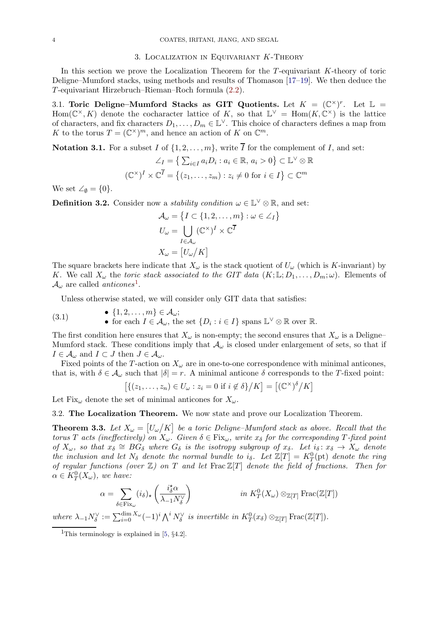### 3. Localization in Equivariant K-Theory

<span id="page-3-1"></span>In this section we prove the Localization Theorem for the T-equivariant K-theory of toric Deligne–Mumford stacks, using methods and results of Thomason [\[17](#page-13-4)[–19\]](#page-13-5). We then deduce the T-equivariant Hirzebruch–Rieman–Roch formula [\(2.2\)](#page-2-0).

<span id="page-3-0"></span>3.1. Toric Deligne–Mumford Stacks as GIT Quotients. Let  $K = (\mathbb{C}^{\times})^r$ . Let  $\mathbb{L} =$ Hom $(\mathbb{C}^{\times}, K)$  denote the cocharacter lattice of K, so that  $\mathbb{L}^{\vee} = \text{Hom}(K, \mathbb{C}^{\times})$  is the lattice of characters, and fix characters  $D_1, \ldots, D_m \in \mathbb{L}^{\vee}$ . This choice of characters defines a map from K to the torus  $T = (\mathbb{C}^{\times})^m$ , and hence an action of K on  $\mathbb{C}^m$ .

**Notation 3.1.** For a subset I of  $\{1, 2, ..., m\}$ , write  $\overline{I}$  for the complement of I, and set:

$$
\angle_I = \left\{ \sum_{i \in I} a_i D_i : a_i \in \mathbb{R}, a_i > 0 \right\} \subset \mathbb{L}^{\vee} \otimes \mathbb{R}
$$

$$
(\mathbb{C}^{\times})^I \times \mathbb{C}^{\overline{I}} = \left\{ (z_1, \dots, z_m) : z_i \neq 0 \text{ for } i \in I \right\} \subset \mathbb{C}^m
$$

We set  $\angle \emptyset = \{0\}.$ 

<span id="page-3-5"></span>**Definition 3.2.** Consider now a *stability condition*  $\omega \in \mathbb{L}^{\vee} \otimes \mathbb{R}$ , and set:

$$
\mathcal{A}_{\omega} = \{I \subset \{1, 2, ..., m\} : \omega \in \angle_I\}
$$

$$
U_{\omega} = \bigcup_{I \in \mathcal{A}_{\omega}} (\mathbb{C}^{\times})^I \times \mathbb{C}^{\overline{I}}
$$

$$
X_{\omega} = [U_{\omega}/K]
$$

The square brackets here indicate that  $X_{\omega}$  is the stack quotient of  $U_{\omega}$  (which is K-invariant) by K. We call  $X_\omega$  the toric stack associated to the GIT data  $(K; \mathbb{L}; D_1, \ldots, D_m; \omega)$ . Elements of  $\mathcal{A}_{\omega}$  are called *anticones*<sup>[1](#page-3-2)</sup>.

<span id="page-3-4"></span>Unless otherwise stated, we will consider only GIT data that satisfies:

(3.1) 
$$
\bullet \quad \{1, 2, \ldots, m\} \in \mathcal{A}_{\omega};
$$

$$
\bullet \quad \text{for each } I \in \mathcal{A}_{\omega}, \text{ the set } \{D_i : i \in I\} \text{ spans } \mathbb{L}^{\vee} \otimes \mathbb{R} \text{ over } \mathbb{R}.
$$

The first condition here ensures that  $X_{\omega}$  is non-empty; the second ensures that  $X_{\omega}$  is a Deligne– Mumford stack. These conditions imply that  $\mathcal{A}_{\omega}$  is closed under enlargement of sets, so that if  $I \in \mathcal{A}_{\omega}$  and  $I \subset J$  then  $J \in \mathcal{A}_{\omega}$ .

Fixed points of the T-action on  $X_\omega$  are in one-to-one correspondence with minimal anticones, that is, with  $\delta \in \mathcal{A}_{\omega}$  such that  $|\delta| = r$ . A minimal anticone  $\delta$  corresponds to the T-fixed point:

$$
[\{(z_1,\ldots,z_n)\in U_\omega:z_i=0\text{ if }i\not\in\delta\}/K]=[(\mathbb{C}^\times)^{\delta}/K]
$$

Let Fix<sub>ω</sub> denote the set of minimal anticones for  $X_{\omega}$ .

3.2. The Localization Theorem. We now state and prove our Localization Theorem.

<span id="page-3-3"></span>**Theorem 3.3.** Let  $X_{\omega} = [U_{\omega}/K]$  be a toric Deligne-Mumford stack as above. Recall that the torus T acts (ineffectively) on  $X_\omega$ . Given  $\delta \in Fix_\omega$ , write  $x_\delta$  for the corresponding T-fixed point of  $X_\omega$ , so that  $x_\delta \cong \overrightarrow{BG_\delta}$  where  $G_\delta$  is the isotropy subgroup of  $x_\delta$ . Let  $i_\delta: x_\delta \to X_\omega$  denote the inclusion and let  $N_{\delta}$  denote the normal bundle to i<sub> $\delta$ </sub>. Let  $\mathbb{Z}[T] = K_T^0(\text{pt})$  denote the ring of regular functions (over  $\mathbb{Z}$ ) on T and let Frac  $\mathbb{Z}[T]$  denote the field of fractions. Then for  $\alpha \in K_T^0(X_\omega)$ , we have:

$$
\alpha = \sum_{\delta \in \text{Fix}_{\omega}} (i_{\delta})_{\star} \left( \frac{i_{\delta}^{\star} \alpha}{\lambda_{-1} N_{\delta}^{\vee}} \right) \qquad \qquad \text{in } K_{T}^{0}(X_{\omega}) \otimes_{\mathbb{Z}[T]} \text{Frac}(\mathbb{Z}[T])
$$

where  $\lambda_{-1}N_{\delta}^{\vee} := \sum_{i=0}^{\dim X_{\omega}} (-1)^{i} \bigwedge^{i} N_{\delta}^{\vee}$  is invertible in  $K_{T}^{0}(x_{\delta}) \otimes_{\mathbb{Z}[T]} \text{Frac}(\mathbb{Z}[T]).$ 

<span id="page-3-2"></span><sup>&</sup>lt;sup>1</sup>This terminology is explained in  $[5, §4.2]$ .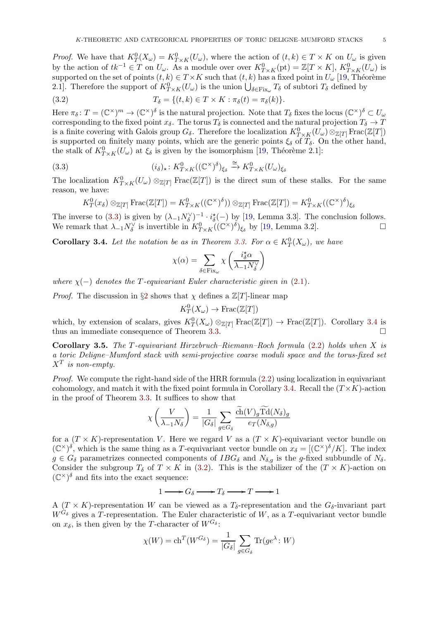*Proof.* We have that  $K_T^0(X_\omega) = K_{T \times K}^0(U_\omega)$ , where the action of  $(t, k) \in T \times K$  on  $U_\omega$  is given by the action of  $tk^{-1} \in T$  on  $U_{\omega}$ . As a module over over  $K_{T\times K}^{0}(\mathrm{pt}) = \mathbb{Z}[T\times K]$ ,  $K_{T\times K}^{0}(U_{\omega})$  is supported on the set of points  $(t, k) \in T \times K$  such that  $(t, k)$  has a fixed point in  $U_{\omega}$  [\[19,](#page-13-5) Théorème 2.1]. Therefore the support of  $K_{T\times K}^{0}(U_{\omega})$  is the union  $\bigcup_{\delta\in \text{Fix}_{\omega}} T_{\delta}$  of subtori  $T_{\delta}$  defined by

<span id="page-4-2"></span>(3.2) 
$$
T_{\delta} = \{(t,k) \in T \times K : \pi_{\delta}(t) = \pi_{\delta}(k)\}.
$$

Here  $\pi_\delta\colon T=(\mathbb{C}^\times)^m\to (\mathbb{C}^\times)^{\delta}$  is the natural projection. Note that  $T_\delta$  fixes the locus  $(\mathbb{C}^\times)^{\delta}\subset U_\omega$ corresponding to the fixed point  $x_{\delta}$ . The torus  $T_{\delta}$  is connected and the natural projection  $T_{\delta} \to T$ is a finite covering with Galois group  $G_{\delta}$ . Therefore the localization  $K^0_{T\times K}(U_{\omega})\otimes_{\mathbb{Z}[T]} \text{Frac}(\mathbb{Z}[T])$ is supported on finitely many points, which are the generic points  $\xi_{\delta}$  of  $T_{\delta}$ . On the other hand, the stalk of  $K_{T\times K}^{0}(U_{\omega})$  at  $\xi_{\delta}$  is given by the isomorphism [\[19,](#page-13-5) Théorème 2.1]:

(3.3) 
$$
(i_{\delta})_{\star} \colon K_{T \times K}^{0}((\mathbb{C}^{\times})^{\delta})_{\xi_{\delta}} \xrightarrow{\cong} K_{T \times K}^{0}(U_{\omega})_{\xi_{\delta}}
$$

The localization  $K^0_{T\times K}(U_\omega)\otimes_{\mathbb{Z}[T]} \text{Frac}(\mathbb{Z}[T])$  is the direct sum of these stalks. For the same reason, we have:

<span id="page-4-0"></span>
$$
K_T^0(x_\delta) \otimes_{\mathbb{Z}[T]} \text{Frac}(\mathbb{Z}[T]) = K_{T \times K}^0((\mathbb{C}^\times)^\delta) \otimes_{\mathbb{Z}[T]} \text{Frac}(\mathbb{Z}[T]) = K_{T \times K}^0((\mathbb{C}^\times)^\delta)_{\xi_\delta}
$$

The inverse to [\(3.3\)](#page-4-0) is given by  $(\lambda_{-1}N_{\delta}^{\vee})^{-1} \cdot i_{\delta}^{\star}(-)$  by [\[19,](#page-13-5) Lemma 3.3]. The conclusion follows. We remark that  $\lambda_{-1} N_{\delta}^{\vee}$  is invertible in  $K_{T\times K}^{0}((\mathbb{C}^{\times})^{\delta})_{\xi_{\delta}}$  by [\[19,](#page-13-5) Lemma 3.2].

<span id="page-4-1"></span>**Corollary 3.4.** Let the notation be as in Theorem [3.3.](#page-3-3) For  $\alpha \in K_T^0(X_\omega)$ , we have

$$
\chi(\alpha) = \sum_{\delta \in \text{Fix}_{\omega}} \chi\left(\frac{i_{\delta}^{\star} \alpha}{\lambda_{-1} N_{\delta}^{\vee}}\right)
$$

where  $\chi(-)$  denotes the T-equivariant Euler characteristic given in [\(2.1\)](#page-2-1).

*Proof.* The discussion in §[2](#page-1-0) shows that  $\chi$  defines a  $\mathbb{Z}[T]$ -linear map

$$
K_T^0(X_\omega) \to \text{Frac}(\mathbb{Z}[T])
$$

which, by extension of scalars, gives  $K_T^0(X_\omega) \otimes_{\mathbb{Z}[T]} \text{Frac}(\mathbb{Z}[T]) \to \text{Frac}(\mathbb{Z}[T])$ . Corollary [3.4](#page-4-1) is thus an immediate consequence of Theorem [3.3.](#page-3-3)

Corollary 3.5. The T-equivariant Hirzebruch–Riemann–Roch formula [\(2.2\)](#page-2-0) holds when X is a toric Deligne–Mumford stack with semi-projective coarse moduli space and the torus-fixed set  $X^T$  is non-empty.

*Proof.* We compute the right-hand side of the HRR formula  $(2.2)$  using localization in equivariant cohomology, and match it with the fixed point formula in Corollary [3.4.](#page-4-1) Recall the  $(T\times K)$ -action in the proof of Theorem [3.3.](#page-3-3) It suffices to show that

$$
\chi\left(\frac{V}{\lambda_{-1}N_{\delta}}\right) = \frac{1}{|G_{\delta}|} \sum_{g \in G_{\delta}} \frac{\tilde{ch}(V)_{g} \text{Td}(N_{\delta})_{g}}{e_{T}(N_{\delta,g})}
$$

for a  $(T \times K)$ -representation V. Here we regard V as a  $(T \times K)$ -equivariant vector bundle on  $(\mathbb{C}^{\times})^{\delta}$ , which is the same thing as a T-equivariant vector bundle on  $x_{\delta} = [(\mathbb{C}^{\times})^{\delta}/K]$ . The index  $g \in G_{\delta}$  parametrizes connected components of  $IBG_{\delta}$  and  $N_{\delta,q}$  is the g-fixed subbundle of  $N_{\delta}$ . Consider the subgroup  $T_{\delta}$  of  $T \times K$  in [\(3.2\)](#page-4-2). This is the stabilizer of the  $(T \times K)$ -action on  $(\mathbb{C}^{\times})^{\delta}$  and fits into the exact sequence:

$$
1 \longrightarrow G_{\delta} \longrightarrow T_{\delta} \longrightarrow T \longrightarrow 1
$$

A  $(T \times K)$ -representation W can be viewed as a  $T_{\delta}$ -representation and the  $G_{\delta}$ -invariant part  $W^{G_{\delta}}$  gives a T-representation. The Euler characteristic of W, as a T-equivariant vector bundle on  $x_{\delta}$ , is then given by the T-character of  $W^{G_{\delta}}$ :

$$
\chi(W) = \text{ch}^T(W^{G_{\delta}}) = \frac{1}{|G_{\delta}|} \sum_{g \in G_{\delta}} \text{Tr}(ge^{\lambda} : W)
$$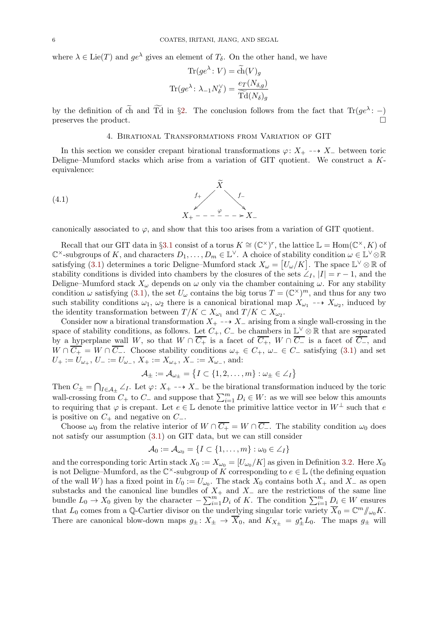where  $\lambda \in \text{Lie}(T)$  and  $ge^{\lambda}$  gives an element of  $T_{\delta}$ . On the other hand, we have

$$
\text{Tr}(ge^{\lambda}: V) = \tilde{\text{ch}}(V)_{g}
$$

$$
\text{Tr}(ge^{\lambda}: \lambda_{-1}N_{\delta}^{\vee}) = \frac{e_{T}(N_{\delta,g})}{\widetilde{\text{Td}}(N_{\delta})_{g}}
$$

<span id="page-5-1"></span>by the definition of ch and Td in §[2.](#page-1-0) The conclusion follows from the fact that  $\text{Tr}(ge^{\lambda}:-)$ preserves the product.

# <span id="page-5-0"></span>4. Birational Transformations from Variation of GIT

In this section we consider crepant birational transformations  $\varphi: X_+ \dashrightarrow X_-$  between toric Deligne–Mumford stacks which arise from a variation of GIT quotient. We construct a Kequivalence:

(4.1) 
$$
f_{+} \longrightarrow f_{-} \\
X_{+} - - - \xrightarrow{\varphi} - - \xrightarrow{X} X_{-}
$$

canonically associated to  $\varphi$ , and show that this too arises from a variation of GIT quotient.

Recall that our GIT data in §[3.1](#page-3-0) consist of a torus  $K \cong (\mathbb{C}^{\times})^r$ , the lattice  $\mathbb{L} = \text{Hom}(\mathbb{C}^{\times}, K)$  of  $\mathbb{C}^{\times}$ -subgroups of K, and characters  $D_1, \ldots, D_m \in \mathbb{L}^{\vee}$ . A choice of stability condition  $\omega \in \mathbb{L}^{\vee} \otimes \mathbb{R}$ satisfying [\(3.1\)](#page-3-4) determines a toric Deligne–Mumford stack  $X_\omega = [U_\omega/K]$ . The space  $\mathbb{L}^\vee \otimes \mathbb{R}$  of stability conditions is divided into chambers by the closures of the sets  $\angle I$ ,  $|I| = r - 1$ , and the Deligne–Mumford stack  $X_\omega$  depends on  $\omega$  only via the chamber containing  $\omega$ . For any stability condition  $\omega$  satisfying [\(3.1\)](#page-3-4), the set  $U_{\omega}$  contains the big torus  $T = (\mathbb{C}^{\times})^m$ , and thus for any two such stability conditions  $\omega_1$ ,  $\omega_2$  there is a canonical birational map  $X_{\omega_1} \dashrightarrow X_{\omega_2}$ , induced by the identity transformation between  $T/K \subset X_{\omega_1}$  and  $T/K \subset X_{\omega_2}$ .

Consider now a birational transformation  $X_+$  -→  $X_-\$  arising from a single wall-crossing in the space of stability conditions, as follows. Let  $C_+$ ,  $C_-$  be chambers in  $\mathbb{L}^{\vee} \otimes \mathbb{R}$  that are separated by a hyperplane wall W, so that  $W \cap \overline{C_+}$  is a facet of  $\overline{C_+}$ ,  $W \cap \overline{C_-}$  is a facet of  $\overline{C_-}$ , and  $W \cap \overline{C_+} = W \cap \overline{C_-}$ . Choose stability conditions  $\omega_+ \in C_+$ ,  $\omega_- \in C_-$  satisfying [\(3.1\)](#page-3-4) and set  $U_+:=U_{\omega_+},\,U_-:=U_{\omega_-},\,X_+:=X_{\omega_+},\,X_-:=X_{\omega_-},$  and:

$$
\mathcal{A}_{\pm} := \mathcal{A}_{\omega_{\pm}} = \big\{ I \subset \{1, 2, \ldots, m\} : \omega_{\pm} \in \angle_I \big\}
$$

Then  $C_{\pm} = \bigcap_{I \in \mathcal{A}_{\pm}} \angle_I$ . Let  $\varphi: X_+ \dashrightarrow X_-$  be the birational transformation induced by the toric wall-crossing from  $C_+$  to  $C_-$  and suppose that  $\sum_{i=1}^m D_i \in W$ : as we will see below this amounts to requiring that  $\varphi$  is crepant. Let  $e \in \mathbb{L}$  denote the primitive lattice vector in  $W^{\perp}$  such that  $e$ is positive on  $C_+$  and negative on  $C_-.$ 

Choose  $\omega_0$  from the relative interior of  $W \cap \overline{C_+} = W \cap \overline{C_-}$ . The stability condition  $\omega_0$  does not satisfy our assumption [\(3.1\)](#page-3-4) on GIT data, but we can still consider

$$
\mathcal{A}_0 := \mathcal{A}_{\omega_0} = \{I \subset \{1, \ldots, m\} : \omega_0 \in \angle_I\}
$$

and the corresponding toric Artin stack  $X_0 := X_{\omega_0} = [U_{\omega_0}/K]$  as given in Definition [3.2.](#page-3-5) Here  $X_0$ is not Deligne–Mumford, as the  $\mathbb{C}^{\times}$ -subgroup of K corresponding to  $e \in \mathbb{L}$  (the defining equation of the wall W) has a fixed point in  $U_0 := U_{\omega_0}$ . The stack  $X_0$  contains both  $X_+$  and  $X_-$  as open substacks and the canonical line bundles of  $X_+$  and  $X_-\$  are the restrictions of the same line bundle  $L_0 \to X_0$  given by the character  $-\sum_{i=1}^m D_i$  of K. The condition  $\sum_{i=1}^m D_i \in W$  ensures that  $L_0$  comes from a Q-Cartier divisor on the underlying singular toric variety  $\overline{X}_0 = \mathbb{C}^m/\!\!/_{\omega_0} K$ . There are canonical blow-down maps  $g_{\pm} : X_{\pm} \to \overline{X}_0$ , and  $K_{X_{\pm}} = g_{\pm}^{\star} L_0$ . The maps  $g_{\pm}$  will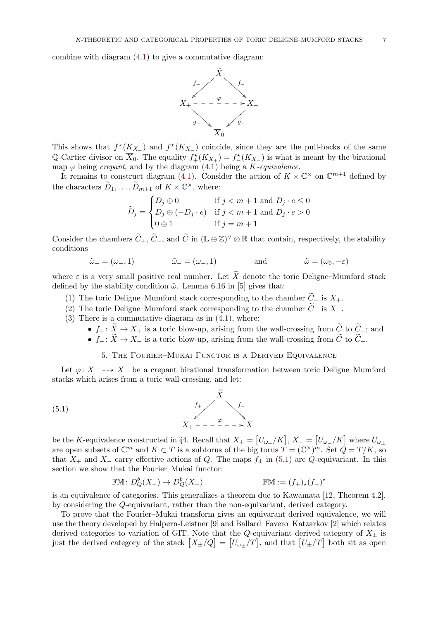combine with diagram [\(4.1\)](#page-5-0) to give a commutative diagram:



This shows that  $f^*_{+}(K_{X_+})$  and  $f^*(K_{X_-})$  coincide, since they are the pull-backs of the same Q-Cartier divisor on  $\overline{X}_0$ . The equality  $f^*_{+}(K_{X_+}) = f^*_{-}(K_{X_-})$  is what is meant by the birational map  $\varphi$  being *crepant*, and by the diagram [\(4.1\)](#page-5-0) being a *K*-equivalence.

It remains to construct diagram [\(4.1\)](#page-5-0). Consider the action of  $K \times \mathbb{C}^{\times}$  on  $\mathbb{C}^{m+1}$  defined by the characters  $\widetilde{D}_1, \ldots, \widetilde{D}_{m+1}$  of  $K \times \mathbb{C}^{\times}$ , where:

$$
\widetilde{D}_j = \begin{cases} D_j \oplus 0 & \text{if } j < m+1 \text{ and } D_j \cdot e \le 0 \\ D_j \oplus (-D_j \cdot e) & \text{if } j < m+1 \text{ and } D_j \cdot e > 0 \\ 0 \oplus 1 & \text{if } j = m+1 \end{cases}
$$

Consider the chambers  $\tilde{C}_+$ ,  $\tilde{C}_-$ , and  $\tilde{C}$  in  $(\mathbb{L} \oplus \mathbb{Z})^{\vee} \otimes \mathbb{R}$  that contain, respectively, the stability conditions

$$
\tilde{\omega}_{+} = (\omega_{+}, 1) \qquad \qquad \tilde{\omega}_{-} = (\omega_{-}, 1) \qquad \qquad \text{and} \qquad \qquad \tilde{\omega} = (\omega_{0}, -\varepsilon)
$$

where  $\varepsilon$  is a very small positive real number. Let  $\widetilde{X}$  denote the toric Deligne–Mumford stack defined by the stability condition  $\tilde{\omega}$ . Lemma 6.16 in [\[5\]](#page-13-0) gives that:

- (1) The toric Deligne–Mumford stack corresponding to the chamber  $\widetilde{C}_+$  is  $X_+$ .
- (2) The toric Deligne–Mumford stack corresponding to the chamber  $C_-\$  is  $X_-\$ .
- $(3)$  There is a commutative diagram as in  $(4.1)$ , where:
	- $f_+ : X \to X_+$  is a toric blow-up, arising from the wall-crossing from  $C$  to  $C_+$ ; and •  $f_-\colon X\to X_-\$  is a toric blow-up, arising from the wall-crossing from C to  $C_-\$ .
		- 5. The Fourier–Mukai Functor is a Derived Equivalence

<span id="page-6-0"></span>Let  $\varphi: X_+ \dashrightarrow X_-$  be a crepant birational transformation between toric Deligne–Mumford

stacks which arises from a toric wall-crossing, and let:

(5.1) 
$$
f_{+} \longrightarrow \begin{cases} f_{+} & f_{-} \\ X_{+} & - - - \xrightarrow{\varphi} - - \xrightarrow{\ } X_{-} \end{cases}
$$

be the K-equivalence constructed in §[4.](#page-5-1) Recall that  $X_+ = [U_{\omega_+}/K], X_- = [U_{\omega_-}/K]$  where  $U_{\omega_{\pm}}$ are open subsets of  $\mathbb{C}^m$  and  $K \subset T$  is a subtorus of the big torus  $T = (\mathbb{C}^{\times})^m$ . Set  $\overline{Q} = T/K$ , so that  $X_+$  and  $X_-\text{ carry effective actions of }Q$ . The maps  $f_\pm$  in [\(5.1\)](#page-6-1) are  $Q$ -equivariant. In this section we show that the Fourier–Mukai functor:

<span id="page-6-1"></span>
$$
\mathbb{F}\mathbb{M}\colon D^b_Q(X_-) \to D^b_Q(X_+) \qquad \mathbb{F}\mathbb{M} := (f_+)_\star (f_-)^\star
$$

is an equivalence of categories. This generalizes a theorem due to Kawamata [\[12,](#page-13-9) Theorem 4.2], by considering the Q-equivariant, rather than the non-equivariant, derived category.

To prove that the Fourier–Mukai transform gives an equivarant derived equivalence, we will use the theory developed by Halpern-Leistner [\[9\]](#page-13-10) and Ballard–Favero–Katzarkov [\[2\]](#page-13-11) which relates derived categories to variation of GIT. Note that the Q-equivariant derived category of  $X_{\pm}$  is just the derived category of the stack  $[X_{\pm}/Q] = [U_{\omega_{\pm}}/T]$ , and that  $[U_{\pm}/T]$  both sit as open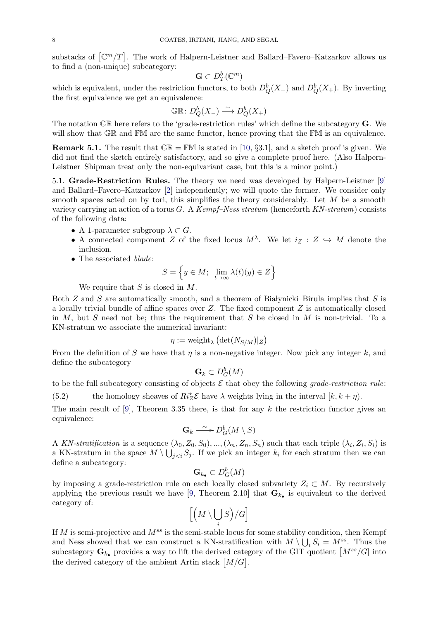substacks of  $\lceil \mathbb{C}^m / T \rceil$ . The work of Halpern-Leistner and Ballard–Favero–Katzarkov allows us to find a (non-unique) subcategory:

$$
\mathbf{G} \subset D^b_T(\mathbb{C}^m)
$$

which is equivalent, under the restriction functors, to both  $D^b_Q(X_{-})$  and  $D^b_Q(X_{+})$ . By inverting the first equivalence we get an equivalence:

$$
\mathbb{GR}\colon D^b_Q(X_-) \xrightarrow{\sim} D^b_Q(X_+)
$$

The notation GR here refers to the 'grade-restriction rules' which define the subcategory G. We will show that GR and FM are the same functor, hence proving that the FM is an equivalence.

**Remark 5.1.** The result that  $\mathbb{GR} = \mathbb{FM}$  is stated in [\[10,](#page-13-19) §3.1], and a sketch proof is given. We did not find the sketch entirely satisfactory, and so give a complete proof here. (Also Halpern-Leistner–Shipman treat only the non-equivariant case, but this is a minor point.)

<span id="page-7-1"></span>5.1. Grade-Restriction Rules. The theory we need was developed by Halpern-Leistner [\[9\]](#page-13-10) and Ballard–Favero–Katzarkov [\[2\]](#page-13-11) independently; we will quote the former. We consider only smooth spaces acted on by tori, this simplifies the theory considerably. Let M be a smooth variety carrying an action of a torus  $G$ . A Kempf–Ness stratum (henceforth  $KN\text{-}stratum$ ) consists of the following data:

- A 1-parameter subgroup  $\lambda \subset G$ .
- A connected component Z of the fixed locus  $M^{\lambda}$ . We let  $i_Z : Z \hookrightarrow M$  denote the inclusion.
- The associated *blade*:

$$
S=\Big\{y\in M;\ \lim_{t\to\infty}\lambda(t)(y)\in Z\Big\}
$$

We require that  $S$  is closed in  $M$ .

Both  $Z$  and  $S$  are automatically smooth, and a theorem of Białynicki–Birula implies that  $S$  is a locally trivial bundle of affine spaces over  $Z$ . The fixed component  $Z$  is automatically closed in  $M$ , but S need not be; thus the requirement that S be closed in  $M$  is non-trivial. To a KN-stratum we associate the numerical invariant:

$$
\eta := \mathrm{weight}_{\lambda}\left(\det(N_{S/M})|_Z\right)
$$

From the definition of S we have that  $\eta$  is a non-negative integer. Now pick any integer k, and define the subcategory

$$
\mathbf{G}_k \subset D^b_G(M)
$$

to be the full subcategory consisting of objects  $\mathcal E$  that obey the following *grade-restriction rule*:

<span id="page-7-0"></span>(5.2) the homology sheaves of  $Ri_{Z}^{*}\mathcal{E}$  have  $\lambda$  weights lying in the interval  $[k, k + \eta)$ .

The main result of [\[9\]](#page-13-10), Theorem 3.35 there, is that for any k the restriction functor gives an equivalence:

$$
\mathbf{G}_k \xrightarrow{\sim} D^b_G(M \setminus S)
$$

A KN-stratification is a sequence  $(\lambda_0, Z_0, S_0), ..., (\lambda_n, Z_n, S_n)$  such that each triple  $(\lambda_i, Z_i, S_i)$  is a KN-stratum in the space  $M \setminus \bigcup_{j < i} S_j$ . If we pick an integer  $k_i$  for each stratum then we can define a subcategory:

$$
\mathbf{G}_{k_{\bullet}} \subset D^b_G(M)
$$

by imposing a grade-restriction rule on each locally closed subvariety  $Z_i \subset M$ . By recursively applying the previous result we have [\[9,](#page-13-10) Theorem 2.10] that  $\mathbf{G}_{k_{\bullet}}$  is equivalent to the derived category of:

$$
\left[\left(M\setminus \bigcup_i S\right)\!/ G\right]
$$

If M is semi-projective and  $M^{ss}$  is the semi-stable locus for some stability condition, then Kempf and Ness showed that we can construct a KN-stratification with  $M \setminus \bigcup_i S_i = M_s^{ss}$ . Thus the subcategory  $\mathbf{G}_{k_{\bullet}}$  provides a way to lift the derived category of the GIT quotient  $\left[M^{ss}/G\right]$  into the derived category of the ambient Artin stack  $[M/G]$ .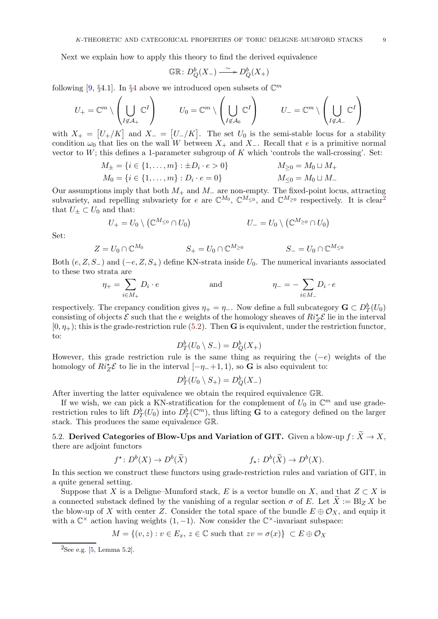Next we explain how to apply this theory to find the derived equivalence

$$
\mathbb{GR}\colon D^b_Q(X_-) \stackrel{\sim}{\longrightarrow} D^b_Q(X_+)
$$

following [\[9,](#page-13-10) §[4](#page-5-1).1]. In §4 above we introduced open subsets of  $\mathbb{C}^m$ 

$$
U_+ = \mathbb{C}^m \setminus \left( \bigcup_{I \not\in \mathcal{A}_+} \mathbb{C}^I \right) \qquad U_0 = \mathbb{C}^m \setminus \left( \bigcup_{I \not\in \mathcal{A}_0} \mathbb{C}^I \right) \qquad U_- = \mathbb{C}^m \setminus \left( \bigcup_{I \not\in \mathcal{A}_-} \mathbb{C}^I \right)
$$

with  $X_+ = [U_+/K]$  and  $X_- = [U_-/K]$ . The set  $U_0$  is the semi-stable locus for a stability condition  $\omega_0$  that lies on the wall W between  $X_+$  and  $X_-$ . Recall that e is a primitive normal vector to  $W$ ; this defines a 1-parameter subgroup of  $K$  which 'controls the wall-crossing'. Set:

$$
M_{\pm} = \{i \in \{1, ..., m\} : \pm D_i \cdot e > 0\}
$$
  
\n
$$
M_{\geq 0} = M_0 \sqcup M_+
$$
  
\n
$$
M_0 = \{i \in \{1, ..., m\} : D_i \cdot e = 0\}
$$
  
\n
$$
M_{\leq 0} = M_0 \sqcup M_-
$$

Our assumptions imply that both  $M_+$  and  $M_-$  are non-empty. The fixed-point locus, attracting subvariety, and repelling subvariety for e are  $\mathbb{C}^{M_0}$ ,  $\mathbb{C}^{M_{\leq 0}}$ , and  $\mathbb{C}^{M_{\geq 0}}$  respectively. It is clear<sup>[2](#page-8-0)</sup> that  $U_{\pm} \subset U_0$  and that:

$$
U_+ = U_0 \setminus (\mathbb{C}^{M_{\leq 0}} \cap U_0) \qquad \qquad U_- = U_0 \setminus (\mathbb{C}^{M_{\geq 0}} \cap U_0)
$$

Set:

$$
Z = U_0 \cap \mathbb{C}^{M_0} \qquad \qquad S_+ = U_0 \cap \mathbb{C}^{M_{\geq 0}} \qquad \qquad S_- = U_0 \cap \mathbb{C}^{M_{\leq 0}}
$$

Both  $(e, Z, S_+)$  and  $(-e, Z, S_+)$  define KN-strata inside  $U_0$ . The numerical invariants associated to these two strata are

$$
\eta_+ = \sum_{i \in M_+} D_i \cdot e \qquad \text{and} \qquad \eta_- = - \sum_{i \in M_-} D_i \cdot e
$$

respectively. The crepancy condition gives  $\eta_+ = \eta_-$ . Now define a full subcategory  $\mathbf{G} \subset D^b_T(U_0)$ consisting of objects  $\mathcal E$  such that the e weights of the homology sheaves of  $Ri^*_{\mathcal Z}$   $\mathcal E$  lie in the interval  $[0, \eta_+);$  this is the grade-restriction rule [\(5.2\)](#page-7-0). Then **G** is equivalent, under the restriction functor, to:

$$
D^b_T(U_0 \setminus S_-) = D^b_Q(X_+)
$$

However, this grade restriction rule is the same thing as requiring the  $(-e)$  weights of the homology of  $Ri_Z^{\star}\mathcal{E}$  to lie in the interval  $[-\eta_-+1,1)$ , so G is also equivalent to:

$$
D^b_T(U_0 \setminus S_+) = D^b_Q(X_-)
$$

After inverting the latter equivalence we obtain the required equivalence GR.

If we wish, we can pick a KN-stratification for the complement of  $U_0$  in  $\mathbb{C}^m$  and use graderestriction rules to lift  $D_T^b(U_0)$  into  $D_T^b(\mathbb{C}^m)$ , thus lifting **G** to a category defined on the larger stack. This produces the same equivalence GR.

5.2. Derived Categories of Blow-Ups and Variation of GIT. Given a blow-up  $f: \widetilde{X} \to X$ , there are adjoint functors

$$
f^* \colon D^b(X) \to D^b(\widetilde{X})
$$
  $f_* \colon D^b(\widetilde{X}) \to D^b(X).$ 

In this section we construct these functors using grade-restriction rules and variation of GIT, in a quite general setting.

Suppose that X is a Deligne–Mumford stack, E is a vector bundle on X, and that  $Z \subset X$  is a connected substack defined by the vanishing of a regular section  $\sigma$  of E. Let  $\widetilde{X} := \text{Bl}_{Z} X$  be the blow-up of X with center Z. Consider the total space of the bundle  $E \oplus \mathcal{O}_X$ , and equip it with a  $\mathbb{C}^{\times}$  action having weights  $(1, -1)$ . Now consider the  $\mathbb{C}^{\times}$ -invariant subspace:

$$
M = \{(v, z) : v \in E_x, z \in \mathbb{C} \text{ such that } zv = \sigma(x)\} \subset E \oplus \mathcal{O}_X
$$

<span id="page-8-0"></span><sup>&</sup>lt;sup>2</sup>See e.g. [\[5,](#page-13-0) Lemma 5.2].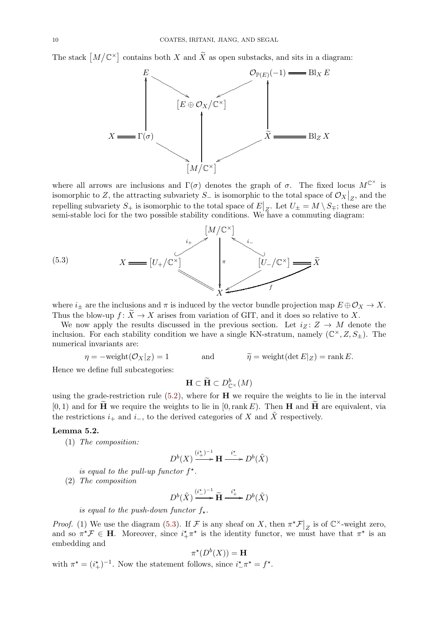The stack  $[M/\mathbb{C}^{\times}]$ contains both  $X$  and  $X$  as open substacks, and sits in a diagram:



where all arrows are inclusions and  $\Gamma(\sigma)$  denotes the graph of  $\sigma$ . The fixed locus  $M^{\mathbb{C}^{\times}}$  is isomorphic to Z, the attracting subvariety  $S_$  is isomorphic to the total space of  $\mathcal{O}_X|_Z$ , and the repelling subvariety  $S_+$  is isomorphic to the total space of  $E|_Z$ . Let  $U_{\pm} = M \setminus S_{\mp}$ ; these are the semi-stable loci for the two possible stability conditions. We have a commuting diagram:

<span id="page-9-0"></span>

where  $i_{\pm}$  are the inclusions and  $\pi$  is induced by the vector bundle projection map  $E \oplus \mathcal{O}_X \to X$ . Thus the blow-up  $f: \widetilde{X} \to X$  arises from variation of GIT, and it does so relative to X.

We now apply the results discussed in the previous section. Let  $i_Z : Z \to M$  denote the inclusion. For each stability condition we have a single KN-stratum, namely  $(\mathbb{C}^{\times}, Z, S_{\pm})$ . The numerical invariants are:

$$
\eta = -\text{weight}(\mathcal{O}_X|_Z) = 1
$$
 and  $\widetilde{\eta} = \text{weight}(\det E|_Z) = \text{rank } E.$ 

Hence we define full subcategories:

$$
\mathbf{H} \subset \widetilde{\mathbf{H}} \subset D^b_{\mathbb{C}^\times}(M)
$$

using the grade-restriction rule  $(5.2)$ , where for **H** we require the weights to lie in the interval  $[0, 1)$  and for  $\tilde{\mathbf{H}}$  we require the weights to lie in  $[0, \text{rank } E)$ . Then **H** and  $\tilde{\mathbf{H}}$  are equivalent, via the restrictions  $i_+$  and  $i_-$ , to the derived categories of X and X respectively.

## <span id="page-9-1"></span>Lemma 5.2.

(1) The composition:

$$
D^b(X) \xrightarrow{(i^*+)^{-1}} \mathbf{H} \xrightarrow{i^*} D^b(\tilde{X})
$$

is equal to the pull-up functor  $f^*$ .

(2) The composition

$$
D^b(\tilde{X}) \xrightarrow{(i^{\star})^{-1}} \tilde{H} \xrightarrow{i^{\star} \atop \longrightarrow} D^b(\tilde{X})
$$

is equal to the push-down functor  $f_{\star}$ .

*Proof.* (1) We use the diagram [\(5.3\)](#page-9-0). If  $\mathcal F$  is any sheaf on X, then  $\pi^* \mathcal F|_Z$  is of  $\mathbb C^{\times}$ -weight zero, and so  $\pi^* \mathcal{F} \in \mathbf{H}$ . Moreover, since  $i^*_{+} \pi^*$  is the identity functor, we must have that  $\pi^*$  is an embedding and

$$
\pi^\star(D^b(X)) = \mathbf{H}
$$

with  $\pi^* = (i^*_+)^{-1}$ . Now the statement follows, since  $i^*_{-} \pi^* = f^*$ .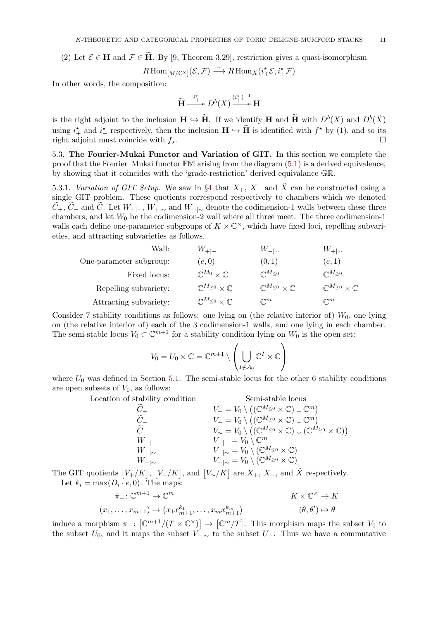(2) Let  $\mathcal{E} \in \mathbf{H}$  and  $\mathcal{F} \in \mathbf{H}$ . By [\[9,](#page-13-10) Theorem 3.29], restriction gives a quasi-isomorphism

$$
R\operatorname{Hom}_{[M/\mathbb{C}^{\times}]}(\mathcal{E},\mathcal{F}) \stackrel{\sim}{\longrightarrow} R\operatorname{Hom}_X(i_{+}^{*}\mathcal{E},i_{+}^{*}\mathcal{F})
$$

In other words, the composition:

$$
\widetilde{\mathbf{H}} \xrightarrow{i_{+}^{*}} D^{b}(X) \xrightarrow{(i_{+}^{*})^{-1}} \mathbf{H}
$$

is the right adjoint to the inclusion  $\mathbf{H} \hookrightarrow \widetilde{\mathbf{H}}$ . If we identify H and  $\widetilde{\mathbf{H}}$  with  $D^b(X)$  and  $D^b(\tilde{X})$ using  $i^*$  and  $i^*$  respectively, then the inclusion  $\mathbf{H} \hookrightarrow \mathbf{H}$  is identified with  $f^*$  by (1), and so its right adjoint must coincide with  $f_{\star}$ .

5.3. The Fourier-Mukai Functor and Variation of GIT. In this section we complete the proof that the Fourier–Mukai functor FM arising from the diagram [\(5.1\)](#page-6-1) is a derived equivalence, by showing that it coincides with the 'grade-restriction' derived equivalance GR.

5.3.1. Variation of GIT Setup. We saw in §[4](#page-5-1) that  $X_+$ ,  $X_-$  and  $\tilde{X}$  can be constructed using a single GIT problem. These quotients correspond respectively to chambers which we denoted  $C_+$ ,  $C_-$  and  $C$ . Let  $W_{+|-}$ ,  $W_{+|-\infty}$  and  $W_{-|-\infty}$  denote the codimension-1 walls between these three chambers, and let  $W_0$  be the codimension-2 wall where all three meet. The three codimension-1 walls each define one-parameter subgroups of  $K \times \mathbb{C}^{\times}$ , which have fixed loci, repelling subvarieties, and attracting subvarieties as follows.

| Wall:                   | $W_{+ -}$                                  | $W_{- \sim}$                              | $W_{+ \sim}$                               |
|-------------------------|--------------------------------------------|-------------------------------------------|--------------------------------------------|
| One-parameter subgroup: | (e,0)                                      | (0,1)                                     | (e,1)                                      |
| Fixed locus:            | $\mathbb{C}^{M_0}\times \mathbb{C}$        | $\mathbb{C}^{M_{\leq 0}}$                 | $\mathbb{C}^{M_{\geq 0}}$                  |
| Repelling subvariety:   | $\mathbb{C}^{M_{\geq 0}}\times\mathbb{C}$  | $\mathbb{C}^{M_{\leq 0}}\times\mathbb{C}$ | $\mathbb{C}^{M_{\geq 0}}\times \mathbb{C}$ |
| Attracting subvariety:  | $\mathbb{C}^{M_{\leq 0}}\times \mathbb{C}$ | $\mathbb{C}^m$                            | $\mathbb{C}^m$                             |

Consider 7 stability conditions as follows: one lying on (the relative interior of)  $W_0$ , one lying on (the relative interior of) each of the 3 codimension-1 walls, and one lying in each chamber. The semi-stable locus  $V_0 \subset \mathbb{C}^{m+1}$  for a stability condition lying on  $W_0$  is the open set:

$$
V_0=U_0\times \mathbb{C}=\mathbb{C}^{m+1}\setminus \left(\bigcup_{I\notin \mathcal{A}_0}\mathbb{C}^I\times \mathbb{C}\right)
$$

where  $U_0$  was defined in Section [5.1.](#page-7-1) The semi-stable locus for the other 6 stability conditions are open subsets of  $V_0$ , as follows:

Location of stability condition Semi-stable locus<br>  $\widetilde{C}_+$   $V_+ = V_0 \setminus ((\mathbb{C}^{M_{\leq 0}} \times \mathbb{C}) \cup \mathbb{C}^{M_{\leq 0}})$ <br>  $\widetilde{C}_ V_- = V_0 \setminus ((\mathbb{C}^{M_{\leq 0}} \times \mathbb{C}) \cup \mathbb{C}^{M_{\leq 0}})$  $\widetilde{C}_+$   $V_+ = V_0 \setminus ((\mathbb{C}^{M_{\leq 0}} \times \mathbb{C}) \cup \mathbb{C}^m)$  $\widetilde{C}_{-}$   $V_{-} = V_0 \setminus ((\mathbb{C}^{M_{\geq 0}} \times \mathbb{C}) \cup \mathbb{C}^m)$  $\widetilde{C} \hspace{1.5cm} V_{\sim} = V_0 \setminus \left( (\mathbb{C}^{M_{\leq 0}} \times \mathbb{C}) \cup (\mathbb{C}^{M_{\geq 0}} \times \mathbb{C}) \right)$  $W_{+|-}$   $V_{+|-} = V_0 \setminus \mathbb{C}^m$  $W_{+|\sim}$   $V_{+|\sim} = V_0 \setminus (\mathbb{C}^{M_{\leq 0}} \times \mathbb{C})$  $W_{-|\sim}$   $V_{-|\sim} = V_0 \setminus (\mathbb{C}^{M_{\geq 0}} \times \mathbb{C})$ 

The GIT quotients  $[V_+/K]$ ,  $[V_-/K]$ , and  $[V_-/K]$  are  $X_+$ ,  $X_-$ , and  $\tilde{X}$  respectively. Let  $k_i = \max(D_i \cdot e, 0)$ . The maps:

$$
\bar{\pi}_{-}: \mathbb{C}^{m+1} \to \mathbb{C}^{m}
$$
\n
$$
(x_1, \ldots, x_{m+1}) \mapsto (x_1 x_{m+1}^{k_1}, \ldots, x_m x_{m+1}^{k_m})
$$
\n
$$
(e, \theta') \mapsto \theta
$$

induce a morphism  $\pi_{-}$ :  $[\mathbb{C}^{m+1}/(T \times \mathbb{C}^{\times})] \to [\mathbb{C}^{m}/T]$ . This morphism maps the subset  $V_0$  to the subset  $U_0$ , and it maps the subset  $V_{-|\sim}$  to the subset  $U_{-}$ . Thus we have a commutative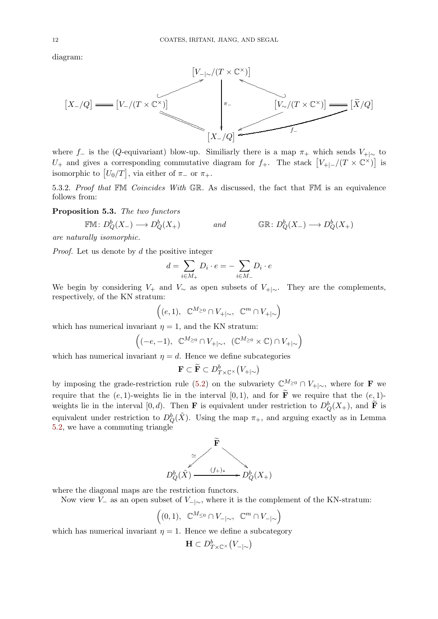diagram:



where f– is the (Q-equivariant) blow-up. Similiarly there is a map  $\pi_+$  which sends  $V_{+|\sim}$  to U<sub>+</sub> and gives a corresponding commutative diagram for f<sub>+</sub>. The stack  $[V_{+|-}/(T \times \mathbb{C}^{\times})]$  is isomorphic to  $[U_0/T]$ , via either of  $\pi$ - or  $\pi$ +.

5.3.2. Proof that FM Coincides With GR. As discussed, the fact that FM is an equivalence follows from:

Proposition 5.3. The two functors

 $\mathbb{F}\mathbb{M}\colon D^b_Q(X_-)\longrightarrow D^b_Q$  ${}_{Q}^{b}(X_{+})$  and  $\mathbb{GR}: D_{Q}^{b}(X_{-}) \longrightarrow D_{Q}^{b}(X_{+})$ 

are naturally isomorphic.

Proof. Let us denote by d the positive integer

$$
d=\sum_{i\in M_+}D_i\cdot e=-\sum_{i\in M_-}D_i\cdot e
$$

We begin by considering  $V_+$  and  $V_{\sim}$  as open subsets of  $V_{+|\sim}$ . They are the complements, respectively, of the KN stratum:

$$
\Big((e,1),\ \ \mathbb{C}^{M_{\geq 0}}\cap V_{+|\sim},\ \ \mathbb{C}^m\cap V_{+|\sim}\Big)
$$

which has numerical invariant  $\eta = 1$ , and the KN stratum:

$$
\Big((-e,-1),\ \ \mathbb{C}^{M_{\geq 0}}\cap V_{+|\sim},\ \ (\mathbb{C}^{M_{\geq 0}}\times \mathbb{C})\cap V_{+|\sim}\Big)
$$

which has numerical invariant  $\eta = d$ . Hence we define subcategories

$$
\mathbf{F} \subset \widetilde{\mathbf{F}} \subset D^b_{T \times \mathbb{C}^\times}\big(V_{+|\sim}\big)
$$

by imposing the grade-restriction rule [\(5.2\)](#page-7-0) on the subvariety  $\mathbb{C}^{M_{\geq 0}} \cap V_{+|\sim}$ , where for **F** we require that the  $(e, 1)$ -weights lie in the interval  $[0, 1)$ , and for  $\tilde{F}$  we require that the  $(e, 1)$ weights lie in the interval [0, d). Then **F** is equivalent under restriction to  $D_Q^b(X_+)$ , and **F** is equivalent under restriction to  $D^b_Q(\tilde{X})$ . Using the map  $\pi_+$ , and arguing exactly as in Lemma [5.2,](#page-9-1) we have a commuting triangle



where the diagonal maps are the restriction functors.

Now view  $V_-\$  as an open subset of  $V_{-\infty}$ , where it is the complement of the KN-stratum:

$$
\Big((0,1),\ \ \mathbb{C}^{M_{\leq 0}}\cap V_{-|\sim},\ \ \mathbb{C}^m\cap V_{-|\sim}\Big)
$$

which has numerical invariant  $\eta = 1$ . Hence we define a subcategory

$$
\mathbf{H} \subset D^b_{T \times \mathbb{C}^\times}\big(V_{-|\sim}\big)
$$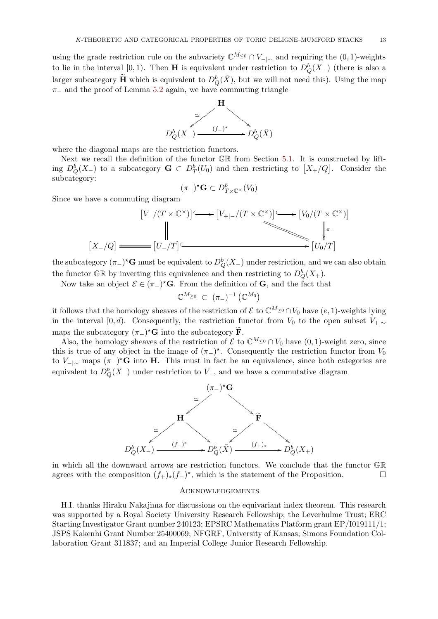using the grade restriction rule on the subvariety  $\mathbb{C}^{M_{\leq 0}} \cap V_{-\infty}$  and requiring the  $(0, 1)$ -weights to lie in the interval [0, 1). Then **H** is equivalent under restriction to  $D_Q^b(X)$  (there is also a larger subcategory  $\widetilde{H}$  which is equivalent to  $D^b_Q(\tilde{X})$ , but we will not need this). Using the map  $\pi_-\$  and the proof of Lemma [5.2](#page-9-1) again, we have commuting triangle



where the diagonal maps are the restriction functors.

Next we recall the definition of the functor GR from Section [5.1.](#page-7-1) It is constructed by lifting  $D^b_Q(X)$  to a subcategory  $G \subset D^b_T(U_0)$  and then restricting to  $[X_+/Q]$ . Consider the subcategory:

$$
(\pi_{-})^{\star} \mathbf{G} \subset D_{T \times \mathbb{C}^{\times}}^{b}(V_{0})
$$

Since we have a commuting diagram

$$
[V_{-}/(T \times \mathbb{C}^{\times})] \longrightarrow [V_{+|-}/(T \times \mathbb{C}^{\times})] \longrightarrow [V_{0}/(T \times \mathbb{C}^{\times})]
$$
  
\n
$$
[X_{-}/Q] \longrightarrow [U_{-}/T] \longrightarrow [U_{0}/T]
$$

the subcategory  $(\pi_-)^{\star} \mathbf{G}$  must be equivalent to  $D^b_Q(X_-)$  under restriction, and we can also obtain the functor GR by inverting this equivalence and then restricting to  $D^b_Q(X_+).$ 

Now take an object  $\mathcal{E} \in (\pi_-)^* \mathbf{G}$ . From the definition of  $\mathbf{G}$ , and the fact that

$$
\mathbb{C}^{M_{\geq 0}} \subset (\pi_{-})^{-1} \left( \mathbb{C}^{M_0} \right)
$$

it follows that the homology sheaves of the restriction of  $\mathcal E$  to  $\mathbb C^M \geq 0 \cap V_0$  have  $(e, 1)$ -weights lying in the interval [0, d). Consequently, the restriction functor from  $V_0$  to the open subset  $V_{+|\sim}$ maps the subcategory  $(\pi_{-})^{\star}$ **G** into the subcategory **F**.

Also, the homology sheaves of the restriction of  $\mathcal E$  to  $\mathbb C^M \leq 0 \cap V_0$  have  $(0, 1)$ -weight zero, since this is true of any object in the image of  $(\pi_{-})^*$ . Consequently the restriction functor from  $V_0$ to  $V_{-\vert\sim}$  maps  $(\pi_{-})^{\star}$ **G** into **H**. This must in fact be an equivalence, since both categories are equivalent to  $D^b_Q(X_-)$  under restriction to  $V_-,$  and we have a commutative diagram



in which all the downward arrows are restriction functors. We conclude that the functor GR agrees with the composition  $(f_+)_*(f_-)^*$ , which is the statement of the Proposition.  $□$ 

#### Acknowledgements

H.I. thanks Hiraku Nakajima for discussions on the equivariant index theorem. This research was supported by a Royal Society University Research Fellowship; the Leverhulme Trust; ERC Starting Investigator Grant number 240123; EPSRC Mathematics Platform grant EP/I019111/1; JSPS Kakenhi Grant Number 25400069; NFGRF, University of Kansas; Simons Foundation Collaboration Grant 311837; and an Imperial College Junior Research Fellowship.